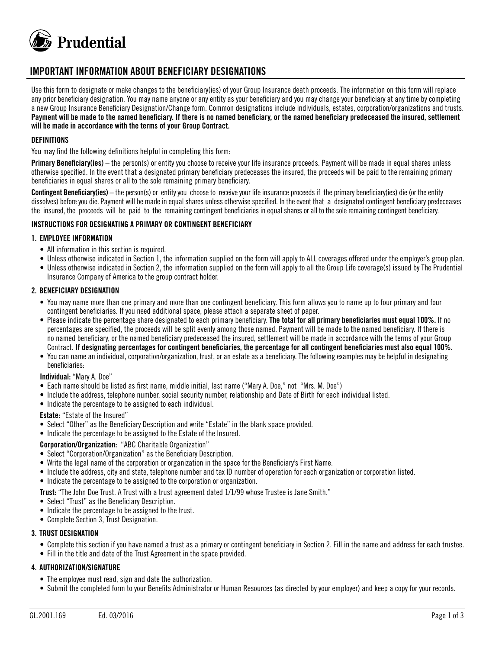

# **IMPORTANT INFORMATION ABOUT BENEFICIARY DESIGNATIONS**

Use this form to designate or make changes to the beneficiary(ies) of your Group Insurance death proceeds. The information on this form will replace any prior beneficiary designation. You may name anyone or any entity as your beneficiary and you may change your beneficiary at any time by completing a new Group Insurance Beneficiary Designation/Change form. Common designations include individuals, estates, corporation/organizations and trusts. **Payment will be made to the named beneficiary. If there is no named beneficiary, or the named beneficiary predeceased the insured, settlement will be made in accordance with the terms of your Group Contract.**

### **DEFINITIONS**

You may find the following definitions helpful in completing this form:

**Primary Beneficiary(ies)** – the person(s) or entity you choose to receive your life insurance proceeds. Payment will be made in equal shares unless otherwise specified. In the event that a designated primary beneficiary predeceases the insured, the proceeds will be paid to the remaining primary beneficiaries in equal shares or all to the sole remaining primary beneficiary.

Contingent Beneficiary(ies) – the person(s) or entity you choose to receive your life insurance proceeds if the primary beneficiary(ies) die (or the entity dissolves) before you die. Payment will be made in equal shares unless otherwise specified. In the event that a designated contingent beneficiary predeceases the insured, the proceeds will be paid to the remaining contingent beneficiaries in equal shares or all to the sole remaining contingent beneficiary.

#### **INSTRUCTIONS FOR DESIGNATING A PRIMARY OR CONTINGENT BENEFICIARY**

#### **1. EMPLOYEE INFORMATION**

- All information in this section is required.
- Unless otherwise indicated in Section 1, the information supplied on the form will apply to ALL coverages offered under the employer's group plan.
- Unless otherwise indicated in Section 2, the information supplied on the form will apply to all the Group Life coverage(s) issued by The Prudential Insurance Company of America to the group contract holder.

#### **2. BENEFICIARY DESIGNATION**

- You may name more than one primary and more than one contingent beneficiary. This form allows you to name up to four primary and four contingent beneficiaries. If you need additional space, please attach a separate sheet of paper.
- Please indicate the percentage share designated to each primary beneficiary. **The total for all primary beneficiaries must equal 100%.** If no percentages are specified, the proceeds will be split evenly among those named. Payment will be made to the named beneficiary. If there is no named beneficiary, or the named beneficiary predeceased the insured, settlement will be made in accordance with the terms of your Group Contract. **If designating percentages for contingent beneficiaries, the percentage for all contingent beneficiaries must also equal 100%.**
- You can name an individual, corporation/organization, trust, or an estate as a beneficiary. The following examples may be helpful in designating beneficiaries:

#### **Individual:** "Mary A. Doe"

- Each name should be listed as first name, middle initial, last name ("Mary A. Doe," not "Mrs. M. Doe")
- Include the address, telephone number, social security number, relationship and Date of Birth for each individual listed.
- Indicate the percentage to be assigned to each individual.

#### **Estate:** "Estate of the Insured"

- Select "Other" as the Beneficiary Description and write "Estate" in the blank space provided.
- Indicate the percentage to be assigned to the Estate of the Insured.

#### **Corporation/Organization:** "ABC Charitable Organization"

- Select "Corporation/Organization" as the Beneficiary Description.
- Write the legal name of the corporation or organization in the space for the Beneficiary's First Name.
- Include the address, city and state, telephone number and tax ID number of operation for each organization or corporation listed.
- Indicate the percentage to be assigned to the corporation or organization.

**Trust:** "The John Doe Trust. A Trust with a trust agreement dated 1/1/99 whose Trustee is Jane Smith."

- Select "Trust" as the Beneficiary Description.
- Indicate the percentage to be assigned to the trust.
- Complete Section 3, Trust Designation.

#### **3. TRUST DESIGNATION**

- Complete this section if you have named a trust as a primary or contingent beneficiary in Section 2. Fill in the name and address for each trustee.
- Fill in the title and date of the Trust Agreement in the space provided.

#### **4. AUTHORIZATION/SIGNATURE**

- The employee must read, sign and date the authorization.
- Submit the completed form to your Benefits Administrator or Human Resources (as directed by your employer) and keep a copy for your records.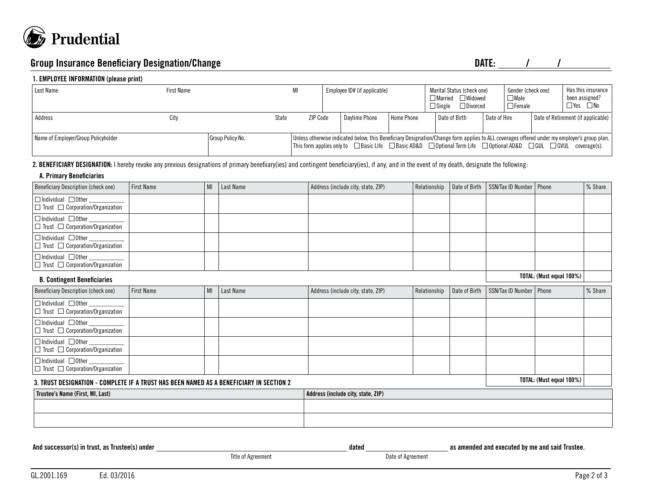

## **Group Insurance Beneficiary Designation/Change DATE: DATE:** *N*

#### **1. EMPLOYEE INFORMATION (please print)**

| Last Name                           | <b>First Name</b> |                  | MI              | Employee ID# (if applicable) |               |            | Marital Status (check one)<br>Married Widowed<br>$\Box$ Divorced<br>$\Box$ Single                                                                                                                                                                                                               |              | Gender (check one)<br>$\Box$ Male<br>$\Box$ Female |  | Has this insurance<br>been assigned?<br>$\Box$ Yes $\Box$ No |
|-------------------------------------|-------------------|------------------|-----------------|------------------------------|---------------|------------|-------------------------------------------------------------------------------------------------------------------------------------------------------------------------------------------------------------------------------------------------------------------------------------------------|--------------|----------------------------------------------------|--|--------------------------------------------------------------|
| Address                             | City              | State            | <b>ZIP Code</b> |                              | Davtime Phone | Home Phone | Date of Birth                                                                                                                                                                                                                                                                                   | Date of Hire |                                                    |  | Date of Retirement (if applicable)                           |
| Name of Employer/Group Policyholder |                   | Group Policy No. |                 |                              |               |            | Unless otherwise indicated below, this Beneficiary Designation/Change form applies to ALL coverages offered under my employer's group plan.<br>This form applies only to $\Box$ Basic Life $\Box$ Basic AD&D $\Box$ Optional Term Life $\Box$ Optional AD&D $\Box$ GUL $\Box$ GVUL coverage(s). |              |                                                    |  |                                                              |

#### **2. BENEFICIARY DESIGNATION:** I hereby revoke any previous designations of primary benefiiary(ies) and contingent beneficiary(ies), if any, and in the event of my death, designate the following:

#### **A. Primary Beneficiaries**

| Beneficiary Description (check one)                                            | <b>First Name</b> | MI | Last Name | Address (include city, state, ZIP) |  | Relationship Date of Birth SSN/Tax ID Number   Phone | │% Share |
|--------------------------------------------------------------------------------|-------------------|----|-----------|------------------------------------|--|------------------------------------------------------|----------|
| $\Box$ Individual $\Box$ Other<br>$\Box$ Trust $\Box$ Corporation/Organization |                   |    |           |                                    |  |                                                      |          |
| $\Box$ Individual $\Box$ Other<br>  □ Trust □ Corporation/Organization         |                   |    |           |                                    |  |                                                      |          |
| $\Box$ Individual $\Box$ Other<br>$\Box$ Trust $\Box$ Corporation/Organization |                   |    |           |                                    |  |                                                      |          |
| $\Box$ Individual $\Box$ Other<br>$\Box$ Trust $\Box$ Corporation/Organization |                   |    |           |                                    |  |                                                      |          |

**TOTAL: (Must equal 100%) B. Contingent Beneficiaries** Beneficiary Description (check one) First Name MI Last Name MI Last Name Address (include city, state, ZIP) Relationship Date of Birth SSN/Tax ID Number Phone % Share % Share  $\Box$ Individual  $\Box$  Other  $\Box$  Trust  $\Box$  Corporation/Organization  $\Box$ Individual  $\Box$  Other  $\Box$  Trust  $\Box$  Corporation/Organization  $\boxed{\Box}$  Individual  $\boxed{\Box}$  Other  $\square$  Trust  $\square$  Corporation/Organization  $\Box$ Individual  $\Box$  Other  $\square$  Trust  $\square$  Corporation/Organization **TOTAL: (Must equal 100%) 3. TRUST DESIGNATION - COMPLETE IF A TRUST HAS BEEN NAMED AS A BENEFICIARY IN SECTION 2 Trustee's Name (First, MI, Last) Address (include city, state, ZIP) Address (include city, state, ZIP)** 

|  | And successor(s) in trust, as Trustee(s) under |
|--|------------------------------------------------|
|--|------------------------------------------------|

Title of Agreement **Date of Agreement** 

dated **and successor in the successor of as amended and executed by me and said Trustee.**